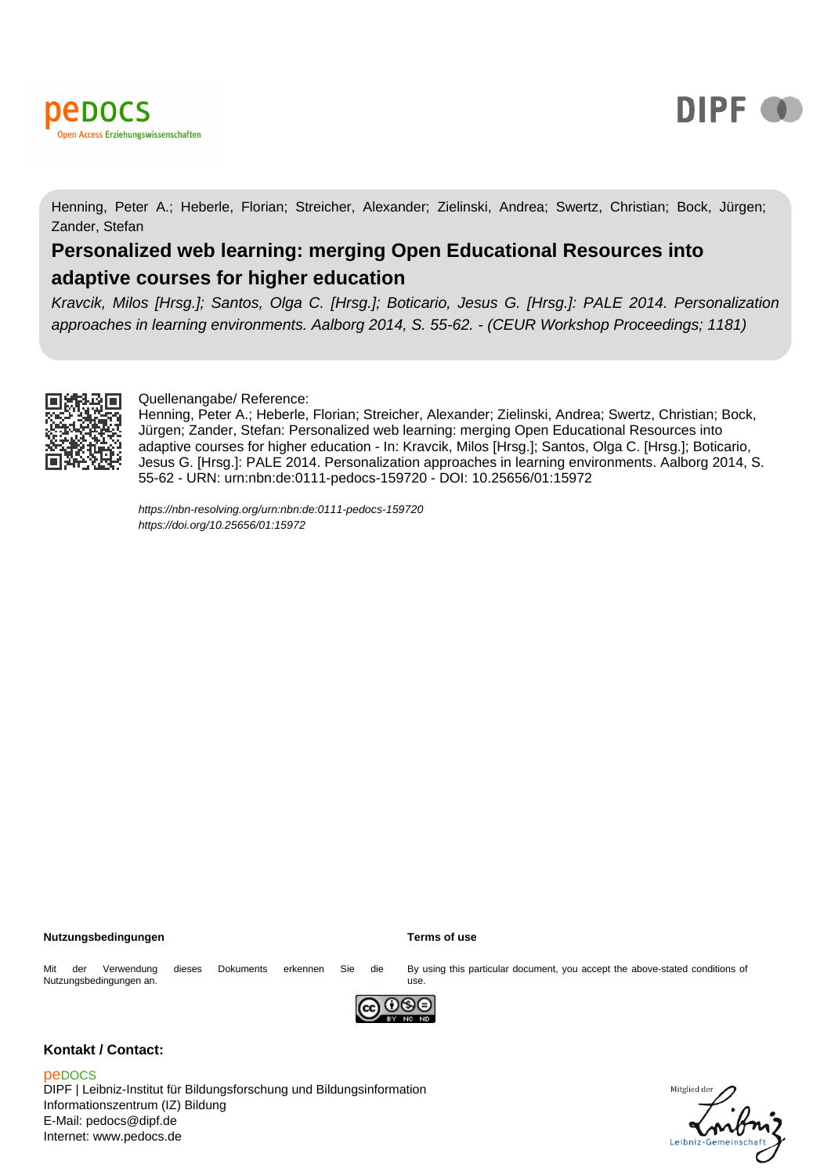



Henning, Peter A.; Heberle, Florian; Streicher, Alexander; Zielinski, Andrea; Swertz, Christian; Bock, Jürgen; Zander, Stefan

# **Personalized web learning: merging Open Educational Resources into adaptive courses for higher education**

Kravcik, Milos [Hrsg.]; Santos, Olga C. [Hrsg.]; Boticario, Jesus G. [Hrsg.]: PALE 2014. Personalization approaches in learning environments. Aalborg 2014, S. 55-62. - (CEUR Workshop Proceedings; 1181)



#### Quellenangabe/ Reference:

Henning, Peter A.; Heberle, Florian; Streicher, Alexander; Zielinski, Andrea; Swertz, Christian; Bock, Jürgen; Zander, Stefan: Personalized web learning: merging Open Educational Resources into adaptive courses for higher education - In: Kravcik, Milos [Hrsg.]; Santos, Olga C. [Hrsg.]; Boticario, Jesus G. [Hrsg.]: PALE 2014. Personalization approaches in learning environments. Aalborg 2014, S. 55-62 - URN: urn:nbn:de:0111-pedocs-159720 - DOI: 10.25656/01:15972

<https://nbn-resolving.org/urn:nbn:de:0111-pedocs-159720> <https://doi.org/10.25656/01:15972>

#### **Nutzungsbedingungen Terms of use**

Mit der Verwendung dieses Dokuments erkennen Sie die Nutzungsbedingungen an.

By using this particular document, you accept the above-stated conditions of use.



# **Kontakt / Contact:**

peDOCS

DIPF | Leibniz-Institut für Bildungsforschung und Bildungsinformation Informationszentrum (IZ) Bildung E-Mail: pedocs@dipf.de Internet: www.pedocs.de

# Mitglied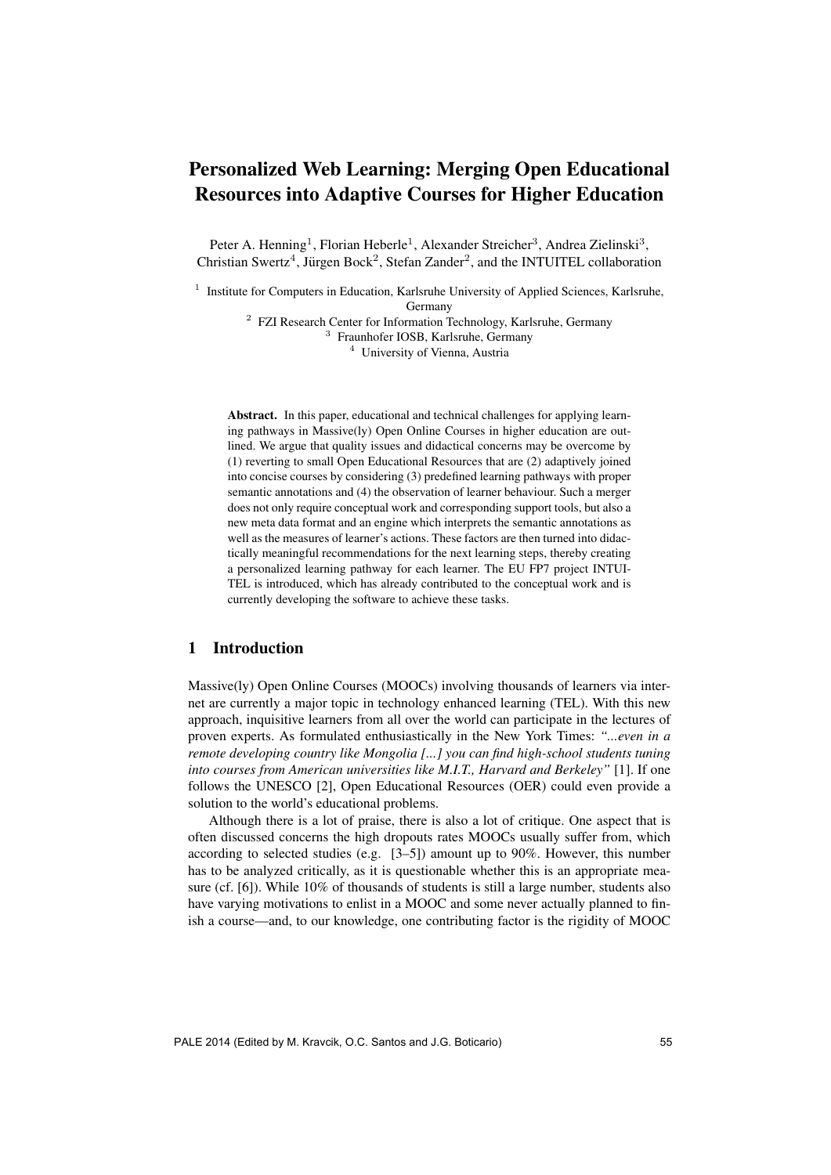# Personalized Web Learning: Merging Open Educational Resources into Adaptive Courses for Higher Education

Peter A. Henning<sup>1</sup>, Florian Heberle<sup>1</sup>, Alexander Streicher<sup>3</sup>, Andrea Zielinski<sup>3</sup>, Christian Swertz<sup>4</sup>, Jürgen Bock<sup>2</sup>, Stefan Zander<sup>2</sup>, and the INTUITEL collaboration

<sup>1</sup> Institute for Computers in Education, Karlsruhe University of Applied Sciences, Karlsruhe,

Germany

<sup>2</sup> FZI Research Center for Information Technology, Karlsruhe, Germany <sup>3</sup> Fraunhofer IOSB, Karlsruhe, Germany <sup>4</sup> University of Vienna, Austria

Abstract. In this paper, educational and technical challenges for applying learning pathways in Massive(ly) Open Online Courses in higher education are outlined. We argue that quality issues and didactical concerns may be overcome by (1) reverting to small Open Educational Resources that are (2) adaptively joined into concise courses by considering (3) predefined learning pathways with proper semantic annotations and (4) the observation of learner behaviour. Such a merger does not only require conceptual work and corresponding support tools, but also a new meta data format and an engine which interprets the semantic annotations as well as the measures of learner's actions. These factors are then turned into didactically meaningful recommendations for the next learning steps, thereby creating a personalized learning pathway for each learner. The EU FP7 project INTUI-TEL is introduced, which has already contributed to the conceptual work and is currently developing the software to achieve these tasks.

# 1 Introduction

Massive(ly) Open Online Courses (MOOCs) involving thousands of learners via internet are currently a major topic in technology enhanced learning (TEL). With this new approach, inquisitive learners from all over the world can participate in the lectures of proven experts. As formulated enthusiastically in the New York Times: *"...even in a remote developing country like Mongolia [...] you can find high-school students tuning into courses from American universities like M.I.T., Harvard and Berkeley"* [1]. If one follows the UNESCO [2], Open Educational Resources (OER) could even provide a solution to the world's educational problems.

Although there is a lot of praise, there is also a lot of critique. One aspect that is often discussed concerns the high dropouts rates MOOCs usually suffer from, which according to selected studies (e.g. [3–5]) amount up to 90%. However, this number has to be analyzed critically, as it is questionable whether this is an appropriate measure (cf. [6]). While 10% of thousands of students is still a large number, students also have varying motivations to enlist in a MOOC and some never actually planned to finish a course—and, to our knowledge, one contributing factor is the rigidity of MOOC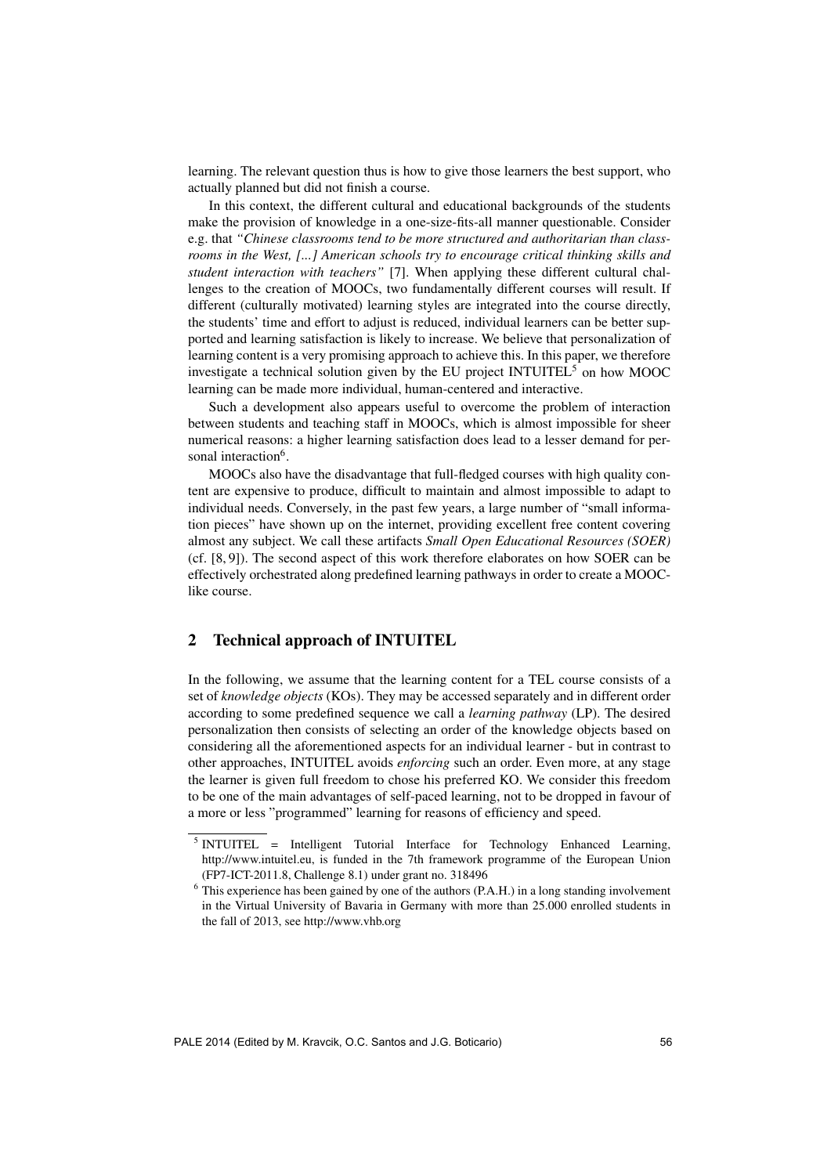learning. The relevant question thus is how to give those learners the best support, who actually planned but did not finish a course.

In this context, the different cultural and educational backgrounds of the students make the provision of knowledge in a one-size-fits-all manner questionable. Consider e.g. that *"Chinese classrooms tend to be more structured and authoritarian than classrooms in the West, [...] American schools try to encourage critical thinking skills and student interaction with teachers"* [7]. When applying these different cultural challenges to the creation of MOOCs, two fundamentally different courses will result. If different (culturally motivated) learning styles are integrated into the course directly, the students' time and effort to adjust is reduced, individual learners can be better supported and learning satisfaction is likely to increase. We believe that personalization of learning content is a very promising approach to achieve this. In this paper, we therefore investigate a technical solution given by the EU project INTUITEL<sup>5</sup> on how MOOC learning can be made more individual, human-centered and interactive.

Such a development also appears useful to overcome the problem of interaction between students and teaching staff in MOOCs, which is almost impossible for sheer numerical reasons: a higher learning satisfaction does lead to a lesser demand for personal interaction<sup>6</sup>.

MOOCs also have the disadvantage that full-fledged courses with high quality content are expensive to produce, difficult to maintain and almost impossible to adapt to individual needs. Conversely, in the past few years, a large number of "small information pieces" have shown up on the internet, providing excellent free content covering almost any subject. We call these artifacts *Small Open Educational Resources (SOER)* (cf. [8, 9]). The second aspect of this work therefore elaborates on how SOER can be effectively orchestrated along predefined learning pathways in order to create a MOOClike course.

# 2 Technical approach of INTUITEL

In the following, we assume that the learning content for a TEL course consists of a set of *knowledge objects* (KOs). They may be accessed separately and in different order according to some predefined sequence we call a *learning pathway* (LP). The desired personalization then consists of selecting an order of the knowledge objects based on considering all the aforementioned aspects for an individual learner - but in contrast to other approaches, INTUITEL avoids *enforcing* such an order. Even more, at any stage the learner is given full freedom to chose his preferred KO. We consider this freedom to be one of the main advantages of self-paced learning, not to be dropped in favour of a more or less "programmed" learning for reasons of efficiency and speed.

<sup>&</sup>lt;sup>5</sup> INTUITEL = Intelligent Tutorial Interface for Technology Enhanced Learning, http://www.intuitel.eu, is funded in the 7th framework programme of the European Union (FP7-ICT-2011.8, Challenge 8.1) under grant no. 318496

 $6$  This experience has been gained by one of the authors (P.A.H.) in a long standing involvement in the Virtual University of Bavaria in Germany with more than 25.000 enrolled students in the fall of 2013, see http://www.vhb.org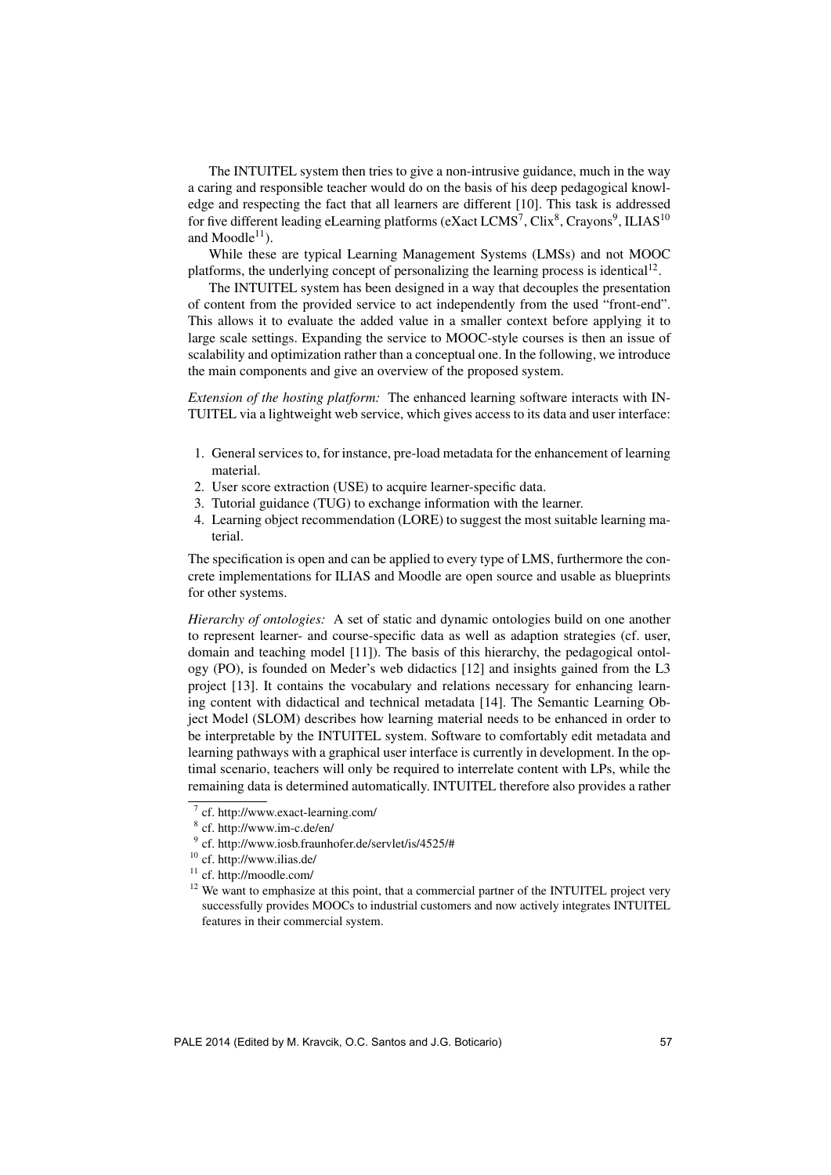The INTUITEL system then tries to give a non-intrusive guidance, much in the way a caring and responsible teacher would do on the basis of his deep pedagogical knowledge and respecting the fact that all learners are different [10]. This task is addressed for five different leading eLearning platforms (eXact LCMS<sup>7</sup>, Clix<sup>8</sup>, Crayons<sup>9</sup>, ILIAS<sup>10</sup> and Moodle $^{11}$ ).

While these are typical Learning Management Systems (LMSs) and not MOOC platforms, the underlying concept of personalizing the learning process is identical<sup>12</sup>.

The INTUITEL system has been designed in a way that decouples the presentation of content from the provided service to act independently from the used "front-end". This allows it to evaluate the added value in a smaller context before applying it to large scale settings. Expanding the service to MOOC-style courses is then an issue of scalability and optimization rather than a conceptual one. In the following, we introduce the main components and give an overview of the proposed system.

*Extension of the hosting platform:* The enhanced learning software interacts with IN-TUITEL via a lightweight web service, which gives access to its data and user interface:

- 1. General services to, for instance, pre-load metadata for the enhancement of learning material.
- 2. User score extraction (USE) to acquire learner-specific data.
- 3. Tutorial guidance (TUG) to exchange information with the learner.
- 4. Learning object recommendation (LORE) to suggest the most suitable learning material.

The specification is open and can be applied to every type of LMS, furthermore the concrete implementations for ILIAS and Moodle are open source and usable as blueprints for other systems.

*Hierarchy of ontologies:* A set of static and dynamic ontologies build on one another to represent learner- and course-specific data as well as adaption strategies (cf. user, domain and teaching model [11]). The basis of this hierarchy, the pedagogical ontology (PO), is founded on Meder's web didactics [12] and insights gained from the L3 project [13]. It contains the vocabulary and relations necessary for enhancing learning content with didactical and technical metadata [14]. The Semantic Learning Object Model (SLOM) describes how learning material needs to be enhanced in order to be interpretable by the INTUITEL system. Software to comfortably edit metadata and learning pathways with a graphical user interface is currently in development. In the optimal scenario, teachers will only be required to interrelate content with LPs, while the remaining data is determined automatically. INTUITEL therefore also provides a rather

<sup>7</sup> cf. http://www.exact-learning.com/

<sup>8</sup> cf. http://www.im-c.de/en/

<sup>9</sup> cf. http://www.iosb.fraunhofer.de/servlet/is/4525/#

<sup>10</sup> cf. http://www.ilias.de/

<sup>11</sup> cf. http://moodle.com/

<sup>&</sup>lt;sup>12</sup> We want to emphasize at this point, that a commercial partner of the INTUITEL project very successfully provides MOOCs to industrial customers and now actively integrates INTUITEL features in their commercial system.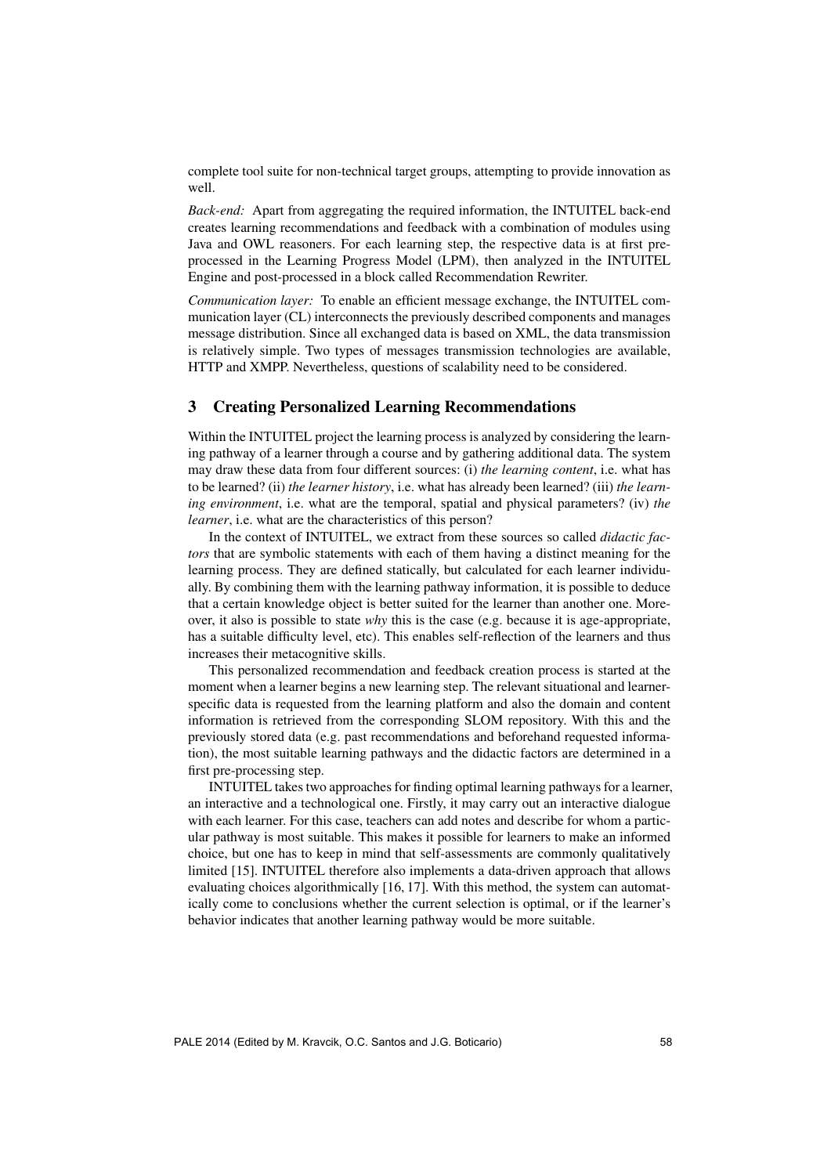complete tool suite for non-technical target groups, attempting to provide innovation as well.

*Back-end:* Apart from aggregating the required information, the INTUITEL back-end creates learning recommendations and feedback with a combination of modules using Java and OWL reasoners. For each learning step, the respective data is at first preprocessed in the Learning Progress Model (LPM), then analyzed in the INTUITEL Engine and post-processed in a block called Recommendation Rewriter.

*Communication layer:* To enable an efficient message exchange, the INTUITEL communication layer (CL) interconnects the previously described components and manages message distribution. Since all exchanged data is based on XML, the data transmission is relatively simple. Two types of messages transmission technologies are available, HTTP and XMPP. Nevertheless, questions of scalability need to be considered.

# 3 Creating Personalized Learning Recommendations

Within the INTUITEL project the learning process is analyzed by considering the learning pathway of a learner through a course and by gathering additional data. The system may draw these data from four different sources: (i) *the learning content*, i.e. what has to be learned? (ii) *the learner history*, i.e. what has already been learned? (iii) *the learning environment*, i.e. what are the temporal, spatial and physical parameters? (iv) *the learner*, i.e. what are the characteristics of this person?

In the context of INTUITEL, we extract from these sources so called *didactic factors* that are symbolic statements with each of them having a distinct meaning for the learning process. They are defined statically, but calculated for each learner individually. By combining them with the learning pathway information, it is possible to deduce that a certain knowledge object is better suited for the learner than another one. Moreover, it also is possible to state *why* this is the case (e.g. because it is age-appropriate, has a suitable difficulty level, etc). This enables self-reflection of the learners and thus increases their metacognitive skills.

This personalized recommendation and feedback creation process is started at the moment when a learner begins a new learning step. The relevant situational and learnerspecific data is requested from the learning platform and also the domain and content information is retrieved from the corresponding SLOM repository. With this and the previously stored data (e.g. past recommendations and beforehand requested information), the most suitable learning pathways and the didactic factors are determined in a first pre-processing step.

INTUITEL takes two approaches for finding optimal learning pathways for a learner, an interactive and a technological one. Firstly, it may carry out an interactive dialogue with each learner. For this case, teachers can add notes and describe for whom a particular pathway is most suitable. This makes it possible for learners to make an informed choice, but one has to keep in mind that self-assessments are commonly qualitatively limited [15]. INTUITEL therefore also implements a data-driven approach that allows evaluating choices algorithmically [16, 17]. With this method, the system can automatically come to conclusions whether the current selection is optimal, or if the learner's behavior indicates that another learning pathway would be more suitable.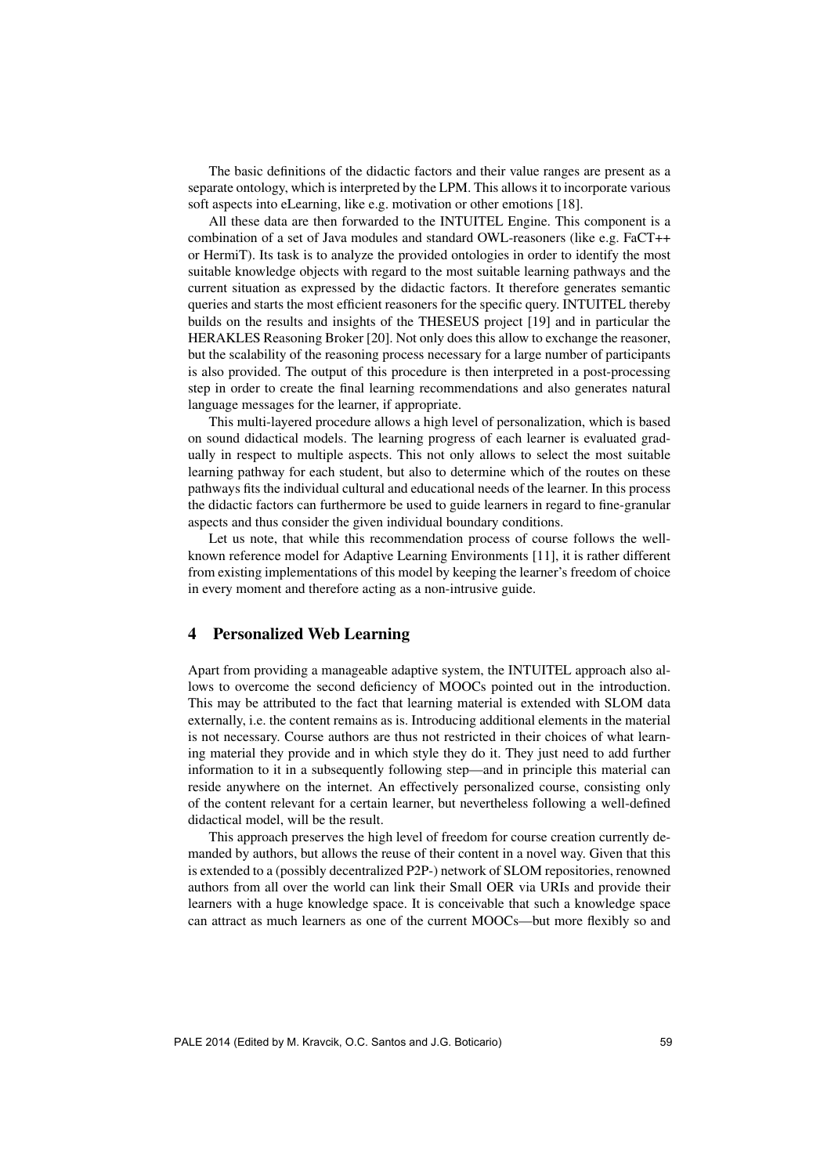The basic definitions of the didactic factors and their value ranges are present as a separate ontology, which is interpreted by the LPM. This allows it to incorporate various soft aspects into eLearning, like e.g. motivation or other emotions [18].

All these data are then forwarded to the INTUITEL Engine. This component is a combination of a set of Java modules and standard OWL-reasoners (like e.g. FaCT++ or HermiT). Its task is to analyze the provided ontologies in order to identify the most suitable knowledge objects with regard to the most suitable learning pathways and the current situation as expressed by the didactic factors. It therefore generates semantic queries and starts the most efficient reasoners for the specific query. INTUITEL thereby builds on the results and insights of the THESEUS project [19] and in particular the HERAKLES Reasoning Broker [20]. Not only does this allow to exchange the reasoner, but the scalability of the reasoning process necessary for a large number of participants is also provided. The output of this procedure is then interpreted in a post-processing step in order to create the final learning recommendations and also generates natural language messages for the learner, if appropriate.

This multi-layered procedure allows a high level of personalization, which is based on sound didactical models. The learning progress of each learner is evaluated gradually in respect to multiple aspects. This not only allows to select the most suitable learning pathway for each student, but also to determine which of the routes on these pathways fits the individual cultural and educational needs of the learner. In this process the didactic factors can furthermore be used to guide learners in regard to fine-granular aspects and thus consider the given individual boundary conditions.

Let us note, that while this recommendation process of course follows the wellknown reference model for Adaptive Learning Environments [11], it is rather different from existing implementations of this model by keeping the learner's freedom of choice in every moment and therefore acting as a non-intrusive guide.

## 4 Personalized Web Learning

Apart from providing a manageable adaptive system, the INTUITEL approach also allows to overcome the second deficiency of MOOCs pointed out in the introduction. This may be attributed to the fact that learning material is extended with SLOM data externally, i.e. the content remains as is. Introducing additional elements in the material is not necessary. Course authors are thus not restricted in their choices of what learning material they provide and in which style they do it. They just need to add further information to it in a subsequently following step—and in principle this material can reside anywhere on the internet. An effectively personalized course, consisting only of the content relevant for a certain learner, but nevertheless following a well-defined didactical model, will be the result.

This approach preserves the high level of freedom for course creation currently demanded by authors, but allows the reuse of their content in a novel way. Given that this is extended to a (possibly decentralized P2P-) network of SLOM repositories, renowned authors from all over the world can link their Small OER via URIs and provide their learners with a huge knowledge space. It is conceivable that such a knowledge space can attract as much learners as one of the current MOOCs—but more flexibly so and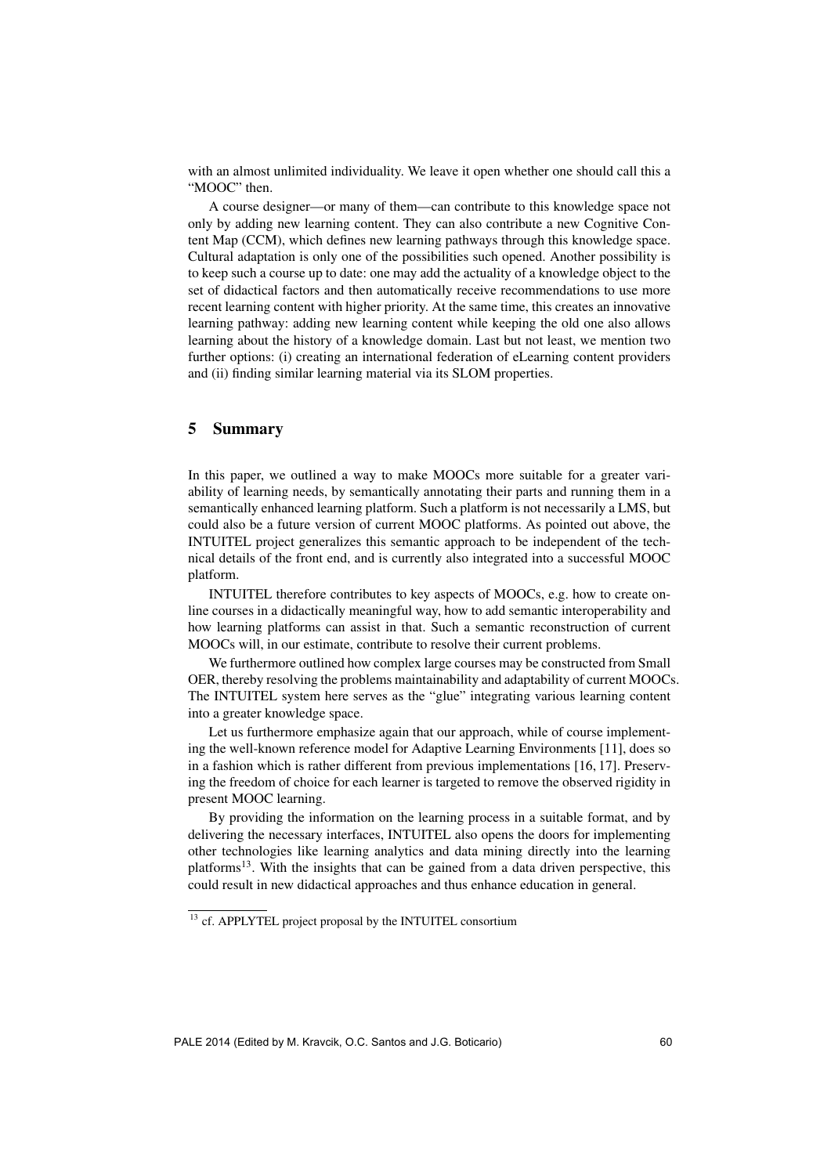with an almost unlimited individuality. We leave it open whether one should call this a "MOOC" then.

A course designer—or many of them—can contribute to this knowledge space not only by adding new learning content. They can also contribute a new Cognitive Content Map (CCM), which defines new learning pathways through this knowledge space. Cultural adaptation is only one of the possibilities such opened. Another possibility is to keep such a course up to date: one may add the actuality of a knowledge object to the set of didactical factors and then automatically receive recommendations to use more recent learning content with higher priority. At the same time, this creates an innovative learning pathway: adding new learning content while keeping the old one also allows learning about the history of a knowledge domain. Last but not least, we mention two further options: (i) creating an international federation of eLearning content providers and (ii) finding similar learning material via its SLOM properties.

# 5 Summary

In this paper, we outlined a way to make MOOCs more suitable for a greater variability of learning needs, by semantically annotating their parts and running them in a semantically enhanced learning platform. Such a platform is not necessarily a LMS, but could also be a future version of current MOOC platforms. As pointed out above, the INTUITEL project generalizes this semantic approach to be independent of the technical details of the front end, and is currently also integrated into a successful MOOC platform.

INTUITEL therefore contributes to key aspects of MOOCs, e.g. how to create online courses in a didactically meaningful way, how to add semantic interoperability and how learning platforms can assist in that. Such a semantic reconstruction of current MOOCs will, in our estimate, contribute to resolve their current problems.

We furthermore outlined how complex large courses may be constructed from Small OER, thereby resolving the problems maintainability and adaptability of current MOOCs. The INTUITEL system here serves as the "glue" integrating various learning content into a greater knowledge space.

Let us furthermore emphasize again that our approach, while of course implementing the well-known reference model for Adaptive Learning Environments [11], does so in a fashion which is rather different from previous implementations [16, 17]. Preserving the freedom of choice for each learner is targeted to remove the observed rigidity in present MOOC learning.

By providing the information on the learning process in a suitable format, and by delivering the necessary interfaces, INTUITEL also opens the doors for implementing other technologies like learning analytics and data mining directly into the learning platforms<sup>13</sup>. With the insights that can be gained from a data driven perspective, this could result in new didactical approaches and thus enhance education in general.

<sup>&</sup>lt;sup>13</sup> cf. APPLYTEL project proposal by the INTUITEL consortium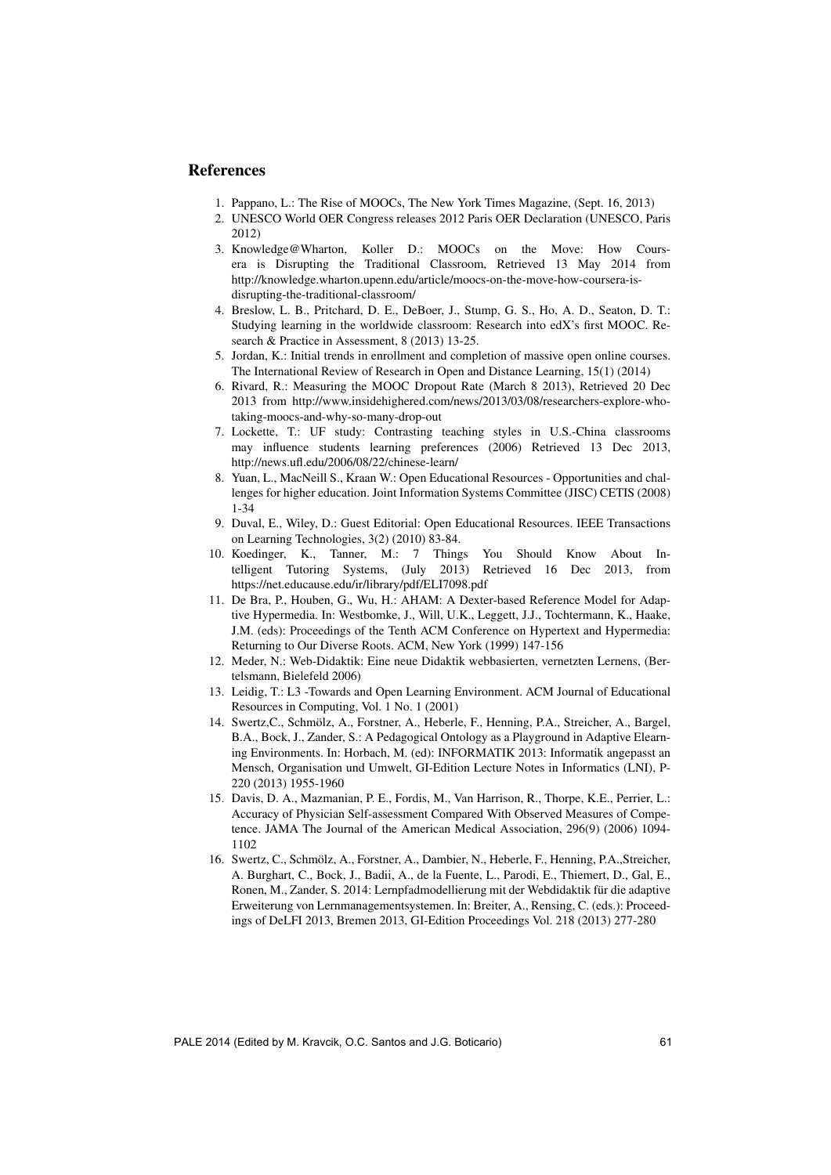# References

- 1. Pappano, L.: The Rise of MOOCs, The New York Times Magazine, (Sept. 16, 2013)
- 2. UNESCO World OER Congress releases 2012 Paris OER Declaration (UNESCO, Paris 2012)
- 3. Knowledge@Wharton, Koller D.: MOOCs on the Move: How Coursera is Disrupting the Traditional Classroom, Retrieved 13 May 2014 from http://knowledge.wharton.upenn.edu/article/moocs-on-the-move-how-coursera-isdisrupting-the-traditional-classroom/
- 4. Breslow, L. B., Pritchard, D. E., DeBoer, J., Stump, G. S., Ho, A. D., Seaton, D. T.: Studying learning in the worldwide classroom: Research into edX's first MOOC. Research & Practice in Assessment, 8 (2013) 13-25.
- 5. Jordan, K.: Initial trends in enrollment and completion of massive open online courses. The International Review of Research in Open and Distance Learning, 15(1) (2014)
- 6. Rivard, R.: Measuring the MOOC Dropout Rate (March 8 2013), Retrieved 20 Dec 2013 from http://www.insidehighered.com/news/2013/03/08/researchers-explore-whotaking-moocs-and-why-so-many-drop-out
- 7. Lockette, T.: UF study: Contrasting teaching styles in U.S.-China classrooms may influence students learning preferences (2006) Retrieved 13 Dec 2013, http://news.ufl.edu/2006/08/22/chinese-learn/
- 8. Yuan, L., MacNeill S., Kraan W.: Open Educational Resources Opportunities and challenges for higher education. Joint Information Systems Committee (JISC) CETIS (2008) 1-34
- 9. Duval, E., Wiley, D.: Guest Editorial: Open Educational Resources. IEEE Transactions on Learning Technologies, 3(2) (2010) 83-84.
- 10. Koedinger, K., Tanner, M.: 7 Things You Should Know About Intelligent Tutoring Systems, (July 2013) Retrieved 16 Dec 2013, from https://net.educause.edu/ir/library/pdf/ELI7098.pdf
- 11. De Bra, P., Houben, G., Wu, H.: AHAM: A Dexter-based Reference Model for Adaptive Hypermedia. In: Westbomke, J., Will, U.K., Leggett, J.J., Tochtermann, K., Haake, J.M. (eds): Proceedings of the Tenth ACM Conference on Hypertext and Hypermedia: Returning to Our Diverse Roots. ACM, New York (1999) 147-156
- 12. Meder, N.: Web-Didaktik: Eine neue Didaktik webbasierten, vernetzten Lernens, (Bertelsmann, Bielefeld 2006)
- 13. Leidig, T.: L3 -Towards and Open Learning Environment. ACM Journal of Educational Resources in Computing, Vol. 1 No. 1 (2001)
- 14. Swertz, C., Schmölz, A., Forstner, A., Heberle, F., Henning, P.A., Streicher, A., Bargel, B.A., Bock, J., Zander, S.: A Pedagogical Ontology as a Playground in Adaptive Elearning Environments. In: Horbach, M. (ed): INFORMATIK 2013: Informatik angepasst an Mensch, Organisation und Umwelt, GI-Edition Lecture Notes in Informatics (LNI), P-220 (2013) 1955-1960
- 15. Davis, D. A., Mazmanian, P. E., Fordis, M., Van Harrison, R., Thorpe, K.E., Perrier, L.: Accuracy of Physician Self-assessment Compared With Observed Measures of Competence. JAMA The Journal of the American Medical Association, 296(9) (2006) 1094- 1102
- 16. Swertz, C., Schmolz, A., Forstner, A., Dambier, N., Heberle, F., Henning, P.A.,Streicher, ¨ A. Burghart, C., Bock, J., Badii, A., de la Fuente, L., Parodi, E., Thiemert, D., Gal, E., Ronen, M., Zander, S. 2014: Lernpfadmodellierung mit der Webdidaktik für die adaptive Erweiterung von Lernmanagementsystemen. In: Breiter, A., Rensing, C. (eds.): Proceedings of DeLFI 2013, Bremen 2013, GI-Edition Proceedings Vol. 218 (2013) 277-280